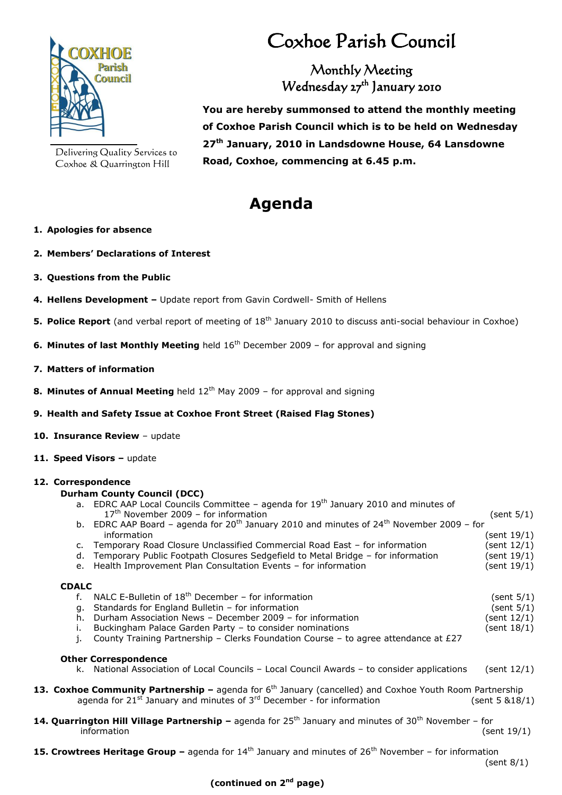

Delivering Quality Services to Coxhoe & Quarrington Hill

# Coxhoe Parish Council

Monthly Meeting Wednesday 27<sup>th</sup> January 2010

**You are hereby summonsed to attend the monthly meeting of Coxhoe Parish Council which is to be held on Wednesday 27th January, 2010 in Landsdowne House, 64 Lansdowne Road, Coxhoe, commencing at 6.45 p.m.**

# **Agenda**

# **1. Apologies for absence**

- **2. Members' Declarations of Interest**
- **3. Questions from the Public**
- **4. Hellens Development –** Update report from Gavin Cordwell- Smith of Hellens
- **5. Police Report** (and verbal report of meeting of 18<sup>th</sup> January 2010 to discuss anti-social behaviour in Coxhoe)
- **6. Minutes of last Monthly Meeting** held 16<sup>th</sup> December 2009 for approval and signing
- **7. Matters of information**
- **8. Minutes of Annual Meeting** held 12<sup>th</sup> May 2009 for approval and signing
- **9. Health and Safety Issue at Coxhoe Front Street (Raised Flag Stones)**
- **10. Insurance Review**  update
- 11. **Speed Visors update**

# **12. Correspondence**

#### **Durham County Council (DCC)**

- a. EDRC AAP Local Councils Committee agenda for 19<sup>th</sup> January 2010 and minutes of 17th November 2009 – for information (sent 5/1) b. EDRC AAP Board – agenda for  $20^{th}$  January 2010 and minutes of  $24^{th}$  November 2009 – for
- information (sent 19/1) c. Temporary Road Closure Unclassified Commercial Road East – for information (sent 12/1)
- d. Temporary Public Footpath Closures Sedgefield to Metal Bridge for information (sent 19/1)
- e. Health Improvement Plan Consultation Events for information (sent 19/1)

# **CDALC**

- f. NALC E-Bulletin of  $18^{th}$  December for information (sent 5/1) g. Standards for England Bulletin – for information  $($ sent  $5/1)$ h. Durham Association News - December 2009 - for information (sent 12/1)
- i. Buckingham Palace Garden Party to consider nominations (sent 18/1) (sent 18/1)
- j. County Training Partnership Clerks Foundation Course to agree attendance at  $E27$

# **Other Correspondence**

- k. National Association of Local Councils Local Council Awards to consider applications (sent 12/1)
- **13. Coxhoe Community Partnership –** agenda for 6<sup>th</sup> January (cancelled) and Coxhoe Youth Room Partnership agenda for  $21^{st}$  January and minutes of  $3^{rd}$  December - for information (sent 5 &18/1)
- 14. Quarrington Hill Village Partnership agenda for 25<sup>th</sup> January and minutes of 30<sup>th</sup> November for information (sent 19/1)
- **15. Crowtrees Heritage Group –** agenda for 14<sup>th</sup> January and minutes of 26<sup>th</sup> November for information